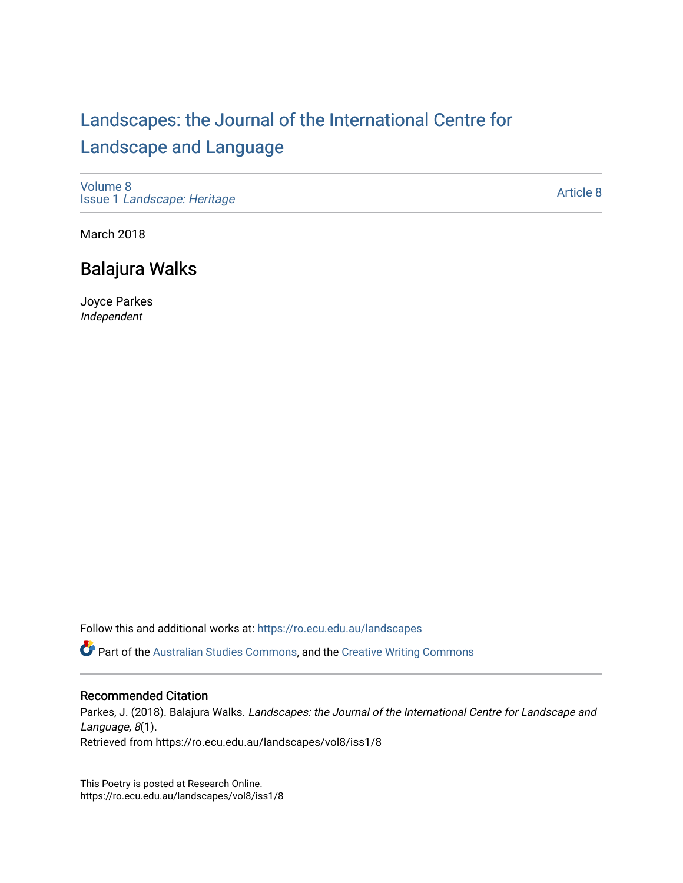## [Landscapes: the Journal of the International Centre for](https://ro.ecu.edu.au/landscapes) [Landscape and Language](https://ro.ecu.edu.au/landscapes)

[Volume 8](https://ro.ecu.edu.au/landscapes/vol8) Issue 1 [Landscape: Heritage](https://ro.ecu.edu.au/landscapes/vol8/iss1)

[Article 8](https://ro.ecu.edu.au/landscapes/vol8/iss1/8) 

March 2018

## Balajura Walks

Joyce Parkes Independent

Follow this and additional works at: [https://ro.ecu.edu.au/landscapes](https://ro.ecu.edu.au/landscapes?utm_source=ro.ecu.edu.au%2Flandscapes%2Fvol8%2Fiss1%2F8&utm_medium=PDF&utm_campaign=PDFCoverPages) 

Part of the [Australian Studies Commons](http://network.bepress.com/hgg/discipline/1020?utm_source=ro.ecu.edu.au%2Flandscapes%2Fvol8%2Fiss1%2F8&utm_medium=PDF&utm_campaign=PDFCoverPages), and the [Creative Writing Commons](http://network.bepress.com/hgg/discipline/574?utm_source=ro.ecu.edu.au%2Flandscapes%2Fvol8%2Fiss1%2F8&utm_medium=PDF&utm_campaign=PDFCoverPages)

## Recommended Citation

Parkes, J. (2018). Balajura Walks. Landscapes: the Journal of the International Centre for Landscape and Language, 8(1). Retrieved from https://ro.ecu.edu.au/landscapes/vol8/iss1/8

This Poetry is posted at Research Online. https://ro.ecu.edu.au/landscapes/vol8/iss1/8